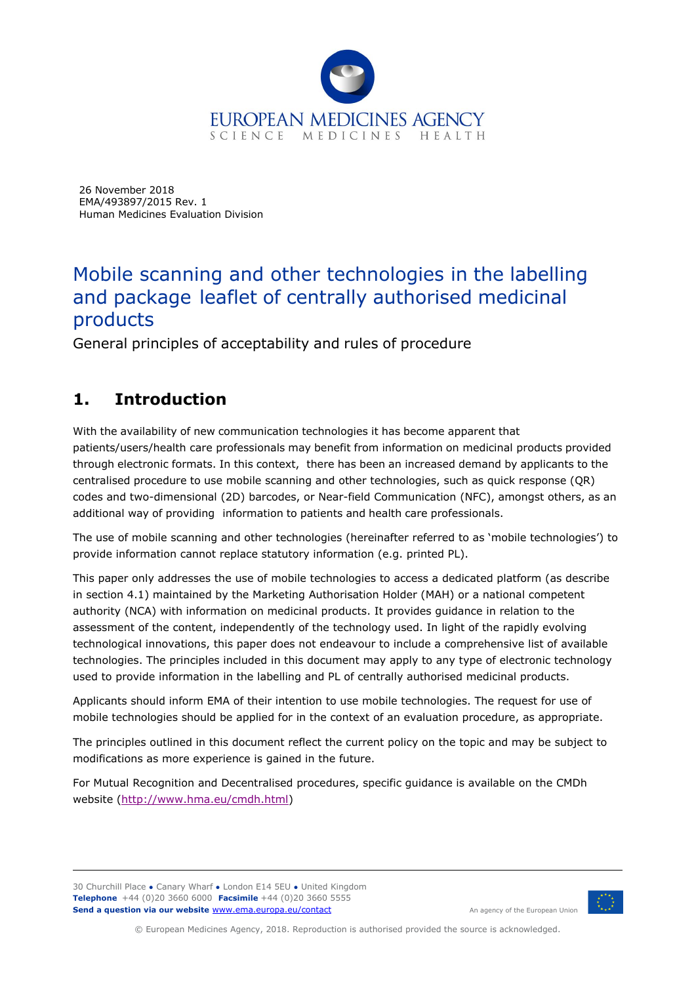

26 November 2018 EMA/493897/2015 Rev. 1 Human Medicines Evaluation Division

# Mobile scanning and other technologies in the labelling and package leaflet of centrally authorised medicinal products

General principles of acceptability and rules of procedure

# **1. Introduction**

With the availability of new communication technologies it has become apparent that patients/users/health care professionals may benefit from information on medicinal products provided through electronic formats. In this context, there has been an increased demand by applicants to the centralised procedure to use mobile scanning and other technologies, such as quick response (QR) codes and two-dimensional (2D) barcodes, or Near-field Communication (NFC), amongst others, as an additional way of providing information to patients and health care professionals.

The use of mobile scanning and other technologies (hereinafter referred to as 'mobile technologies') to provide information cannot replace statutory information (e.g. printed PL).

This paper only addresses the use of mobile technologies to access a dedicated platform (as describe in section 4.1) maintained by the Marketing Authorisation Holder (MAH) or a national competent authority (NCA) with information on medicinal products. It provides guidance in relation to the assessment of the content, independently of the technology used. In light of the rapidly evolving technological innovations, this paper does not endeavour to include a comprehensive list of available technologies. The principles included in this document may apply to any type of electronic technology used to provide information in the labelling and PL of centrally authorised medicinal products.

Applicants should inform EMA of their intention to use mobile technologies. The request for use of mobile technologies should be applied for in the context of an evaluation procedure, as appropriate.

The principles outlined in this document reflect the current policy on the topic and may be subject to modifications as more experience is gained in the future.

For Mutual Recognition and Decentralised procedures, specific guidance is available on the CMDh website [\(http://www.hma.eu/cmdh.html\)](http://www.hma.eu/cmdh.html)

30 Churchill Place **●** Canary Wharf **●** London E14 5EU **●** United Kingdom **Telephone** +44 (0)20 3660 6000 **Facsimile** +44 (0)20 3660 5555 **Send a question via our website** [www.ema.europa.eu/contact](http://www.ema.europa.eu/contact) 



An agency of the European Union

© European Medicines Agency, 2018. Reproduction is authorised provided the source is acknowledged.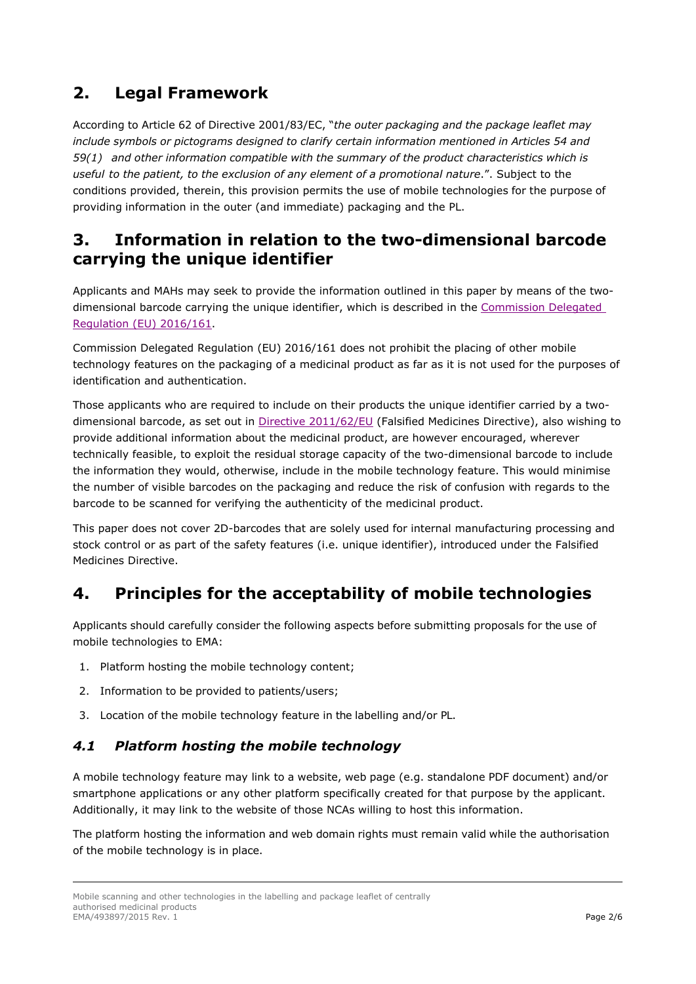## **2. Legal Framework**

According to Article 62 of Directive 2001/83/EC, "*the outer packaging and the package leaflet may include symbols or pictograms designed to clarify certain information mentioned in Articles 54 and 59(1) and other information compatible with the summary of the product characteristics which is useful to the patient, to the exclusion of any element of a promotional nature*.". Subject to the conditions provided, therein, this provision permits the use of mobile technologies for the purpose of providing information in the outer (and immediate) packaging and the PL.

### **3. Information in relation to the two-dimensional barcode carrying the unique identifier**

Applicants and MAHs may seek to provide the information outlined in this paper by means of the twodimensional barcode carrying the unique identifier, which is described in the Commission Delegated [Regulation \(EU\) 2016/161.](https://ec.europa.eu/health/human-use/falsified_medicines_en)

Commission Delegated Regulation (EU) 2016/161 does not prohibit the placing of other mobile technology features on the packaging of a medicinal product as far as it is not used for the purposes of identification and authentication.

Those applicants who are required to include on their products the unique identifier carried by a two-dimensional barcode, as set out in [Directive 2011/62/EU](https://ec.europa.eu/health/human-use/falsified_medicines_en) (Falsified Medicines Directive), also wishing to provide additional information about the medicinal product, are however encouraged, wherever technically feasible, to exploit the residual storage capacity of the two-dimensional barcode to include the information they would, otherwise, include in the mobile technology feature. This would minimise the number of visible barcodes on the packaging and reduce the risk of confusion with regards to the barcode to be scanned for verifying the authenticity of the medicinal product.

This paper does not cover 2D-barcodes that are solely used for internal manufacturing processing and stock control or as part of the safety features (i.e. unique identifier), introduced under the Falsified Medicines Directive.

# **4. Principles for the acceptability of mobile technologies**

Applicants should carefully consider the following aspects before submitting proposals for the use of mobile technologies to EMA:

- 1. Platform hosting the mobile technology content;
- 2. Information to be provided to patients/users;
- 3. Location of the mobile technology feature in the labelling and/or PL.

#### *4.1 Platform hosting the mobile technology*

A mobile technology feature may link to a website, web page (e.g. standalone PDF document) and/or smartphone applications or any other platform specifically created for that purpose by the applicant. Additionally, it may link to the website of those NCAs willing to host this information.

The platform hosting the information and web domain rights must remain valid while the authorisation of the mobile technology is in place.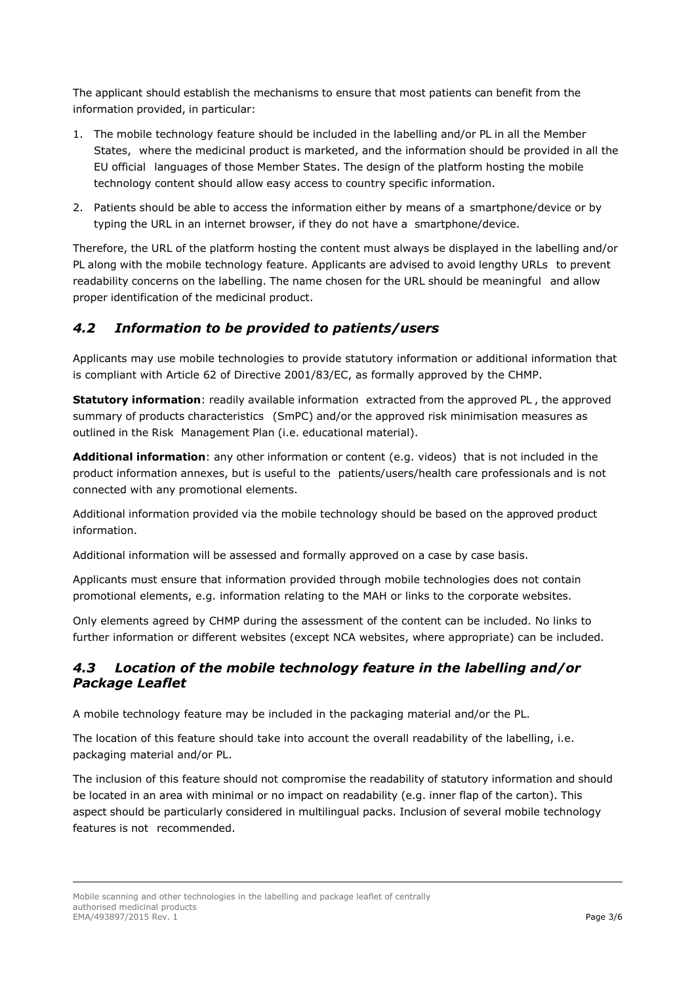The applicant should establish the mechanisms to ensure that most patients can benefit from the information provided, in particular:

- 1. The mobile technology feature should be included in the labelling and/or PL in all the Member States, where the medicinal product is marketed, and the information should be provided in all the EU official languages of those Member States. The design of the platform hosting the mobile technology content should allow easy access to country specific information.
- 2. Patients should be able to access the information either by means of a smartphone/device or by typing the URL in an internet browser, if they do not have a smartphone/device.

Therefore, the URL of the platform hosting the content must always be displayed in the labelling and/or PL along with the mobile technology feature. Applicants are advised to avoid lengthy URLs to prevent readability concerns on the labelling. The name chosen for the URL should be meaningful and allow proper identification of the medicinal product.

#### *4.2 Information to be provided to patients/users*

Applicants may use mobile technologies to provide statutory information or additional information that is compliant with Article 62 of Directive 2001/83/EC, as formally approved by the CHMP.

**Statutory information**: readily available information extracted from the approved PL, the approved summary of products characteristics (SmPC) and/or the approved risk minimisation measures as outlined in the Risk Management Plan (i.e. educational material).

**Additional information**: any other information or content (e.g. videos) that is not included in the product information annexes, but is useful to the patients/users/health care professionals and is not connected with any promotional elements.

Additional information provided via the mobile technology should be based on the approved product information.

Additional information will be assessed and formally approved on a case by case basis.

Applicants must ensure that information provided through mobile technologies does not contain promotional elements, e.g. information relating to the MAH or links to the corporate websites.

Only elements agreed by CHMP during the assessment of the content can be included. No links to further information or different websites (except NCA websites, where appropriate) can be included.

#### *4.3 Location of the mobile technology feature in the labelling and/or Package Leaflet*

A mobile technology feature may be included in the packaging material and/or the PL.

The location of this feature should take into account the overall readability of the labelling, i.e. packaging material and/or PL.

The inclusion of this feature should not compromise the readability of statutory information and should be located in an area with minimal or no impact on readability (e.g. inner flap of the carton). This aspect should be particularly considered in multilingual packs. Inclusion of several mobile technology features is not recommended.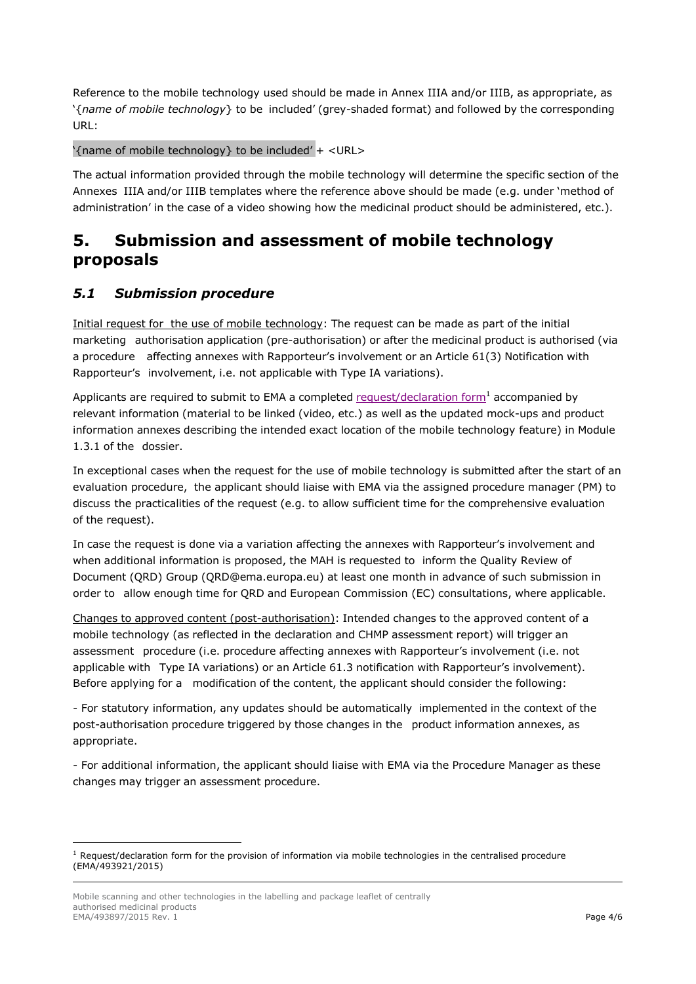Reference to the mobile technology used should be made in Annex IIIA and/or IIIB, as appropriate, as '{*name of mobile technology*} to be included' (grey-shaded format) and followed by the corresponding URL:

'{name of mobile technology} to be included' + <URL>

The actual information provided through the mobile technology will determine the specific section of the Annexes IIIA and/or IIIB templates where the reference above should be made (e.g. under 'method of administration' in the case of a video showing how the medicinal product should be administered, etc.).

### **5. Submission and assessment of mobile technology proposals**

#### *5.1 Submission procedure*

Initial request for the use of mobile technology: The request can be made as part of the initial marketing authorisation application (pre-authorisation) or after the medicinal product is authorised (via a procedure affecting annexes with Rapporteur's involvement or an Article 61(3) Notification with Rapporteur's involvement, i.e. not applicable with Type IA variations).

Applicants are required to submit to EMA a completed [request/declaration](https://www.ema.europa.eu/en/human-regulatory/marketing-authorisation/product-information/product-information-reference-documents-guidelines) form<sup>1</sup> accompanied by relevant information (material to be linked (video, etc.) as well as the updated mock-ups and product information annexes describing the intended exact location of the mobile technology feature) in Module 1.3.1 of the dossier.

In exceptional cases when the request for the use of mobile technology is submitted after the start of an evaluation procedure, the applicant should liaise with EMA via the assigned procedure manager (PM) to discuss the practicalities of the request (e.g. to allow sufficient time for the comprehensive evaluation of the request).

In case the request is done via a variation affecting the annexes with Rapporteur's involvement and when additional information is proposed, the MAH is requested to inform the Quality Review of Document (QRD) Group (QRD@ema.europa.eu) at least one month in advance of such submission in order to allow enough time for QRD and European Commission (EC) consultations, where applicable.

Changes to approved content (post-authorisation): Intended changes to the approved content of a mobile technology (as reflected in the declaration and CHMP assessment report) will trigger an assessment procedure (i.e. procedure affecting annexes with Rapporteur's involvement (i.e. not applicable with Type IA variations) or an Article 61.3 notification with Rapporteur's involvement). Before applying for a modification of the content, the applicant should consider the following:

- For statutory information, any updates should be automatically implemented in the context of the post-authorisation procedure triggered by those changes in the product information annexes, as appropriate.

- For additional information, the applicant should liaise with EMA via the Procedure Manager as these changes may trigger an assessment procedure.

-

 $1$  Request/declaration form for the provision of information via mobile technologies in the centralised procedure (EMA/493921/2015)

Mobile scanning and other technologies in the labelling and package leaflet of centrally authorised medicinal products EMA/493897/2015 Rev. 1 **Page 4/6**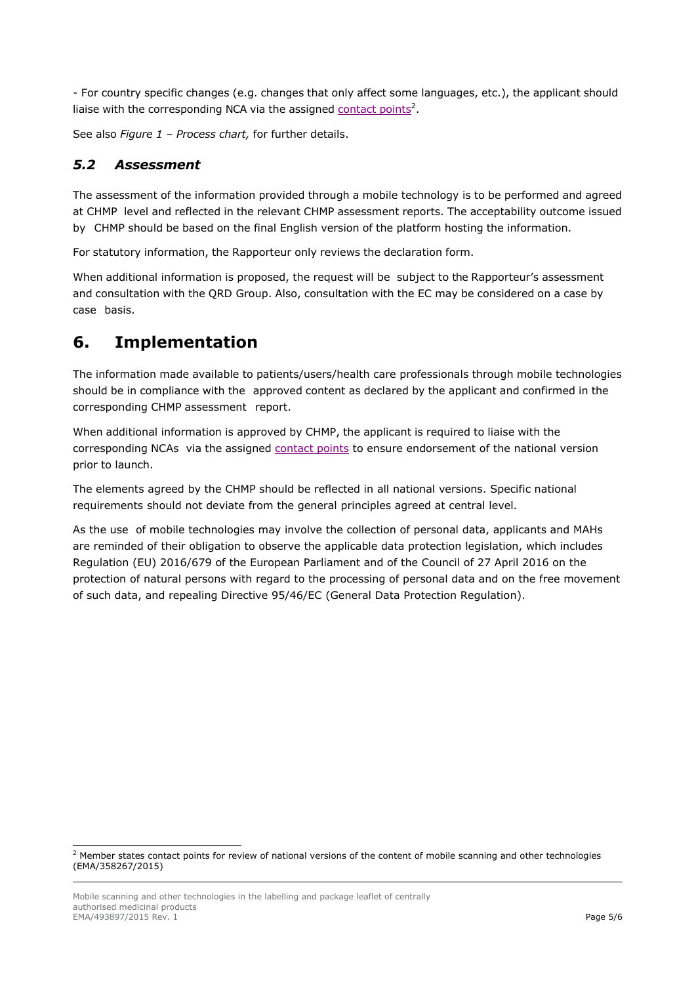- For country specific changes (e.g. changes that only affect some languages, etc.), the applicant should liaise with the corresponding NCA via the assigned [contact](https://www.ema.europa.eu/en/human-regulatory/marketing-authorisation/product-information/product-information-reference-documents-guidelines) points<sup>2</sup>.

See also *Figure 1 – Process chart,* for further details.

#### *5.2 Assessment*

The assessment of the information provided through a mobile technology is to be performed and agreed at CHMP level and reflected in the relevant CHMP assessment reports. The acceptability outcome issued by CHMP should be based on the final English version of the platform hosting the information.

For statutory information, the Rapporteur only reviews the declaration form.

When additional information is proposed, the request will be subject to the Rapporteur's assessment and consultation with the QRD Group. Also, consultation with the EC may be considered on a case by case basis.

### **6. Implementation**

The information made available to patients/users/health care professionals through mobile technologies should be in compliance with the approved content as declared by the applicant and confirmed in the corresponding CHMP assessment report.

When additional information is approved by CHMP, the applicant is required to liaise with the corresponding NCAs via the assigned [contact](https://www.ema.europa.eu/en/human-regulatory/marketing-authorisation/product-information/product-information-reference-documents-guidelines) points to ensure endorsement of the national version prior to launch.

The elements agreed by the CHMP should be reflected in all national versions. Specific national requirements should not deviate from the general principles agreed at central level.

As the use of mobile technologies may involve the collection of personal data, applicants and MAHs are reminded of their obligation to observe the applicable data protection legislation, which includes Regulation (EU) 2016/679 of the European Parliament and of the Council of 27 April 2016 on the protection of natural persons with regard to the processing of personal data and on the free movement of such data, and repealing Directive 95/46/EC (General Data Protection Regulation).

-

 $2$  Member states contact points for review of national versions of the content of mobile scanning and other technologies (EMA/358267/2015)